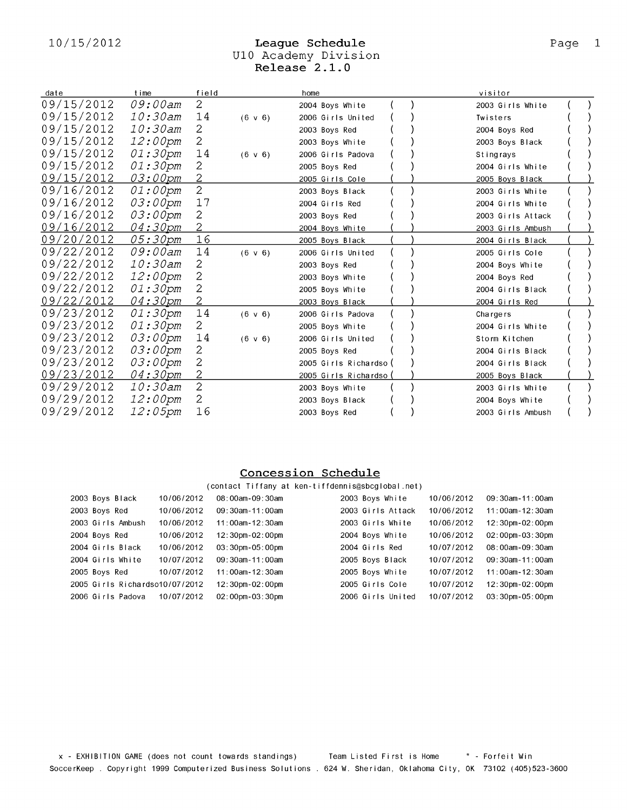# 10/15/2012 League Schedule<br>U10 Academy Division<br>Release 2.1.0  $U$

| date       | time              | field          |              | home                   | visitor           |  |
|------------|-------------------|----------------|--------------|------------------------|-------------------|--|
| 09/15/2012 | 09:00am           | $\overline{2}$ |              | 2004 Boys White        | 2003 Girls White  |  |
| 09/15/2012 | 10:30am           | 14             | $(6 \vee 6)$ | 2006 Girls United      | Twisters          |  |
| 09/15/2012 | 10:30am           | 2              |              | 2003 Boys Red          | 2004 Boys Red     |  |
| 09/15/2012 | 12:00pm           | $\overline{2}$ |              | 2003 Boys White        | 2003 Boys Black   |  |
| 09/15/2012 | 01:30pm           | 14             | $(6 \vee 6)$ | 2006 Girls Padova      | Stingrays         |  |
| 09/15/2012 | 01:30pm           | 2              |              | 2005 Boys Red          | 2004 Girls White  |  |
| 09/15/2012 | <u>03:00pm</u>    |                |              | 2005 Girls Cole        | 2005 Boys Black   |  |
| 09/16/2012 | <i>01:00pm</i>    | $\overline{2}$ |              | 2003 Boys Black        | 2003 Girls White  |  |
| 09/16/2012 | 03:00pm           | 17             |              | 2004 Girls Red         | 2004 Girls White  |  |
| 09/16/2012 | 03:00pm           | 2              |              | 2003 Boys Red          | 2003 Girls Attack |  |
| 09/16/2012 | 04:30pm           | $\overline{2}$ |              | 2004 Boys White        | 2003 Girls Ambush |  |
| 09/20/2012 | 05:30pm           | 16             |              | 2005 Boys Black        | 2004 Girls Black  |  |
| 09/22/2012 | 09:00am           | 14             | $(6 \vee 6)$ | 2006 Girls United      | 2005 Girls Cole   |  |
| 09/22/2012 | 10:30am           | 2              |              | 2003 Boys Red          | 2004 Boys White   |  |
| 09/22/2012 | $12:00 \text{pm}$ | 2              |              | 2003 Boys White        | 2004 Boys Red     |  |
| 09/22/2012 | 01:30pm           | 2              |              | 2005 Boys White        | 2004 Girls Black  |  |
| 09/22/2012 | 04:30pm           | 2              |              | 2003 Boys Black        | 2004 Girls Red    |  |
| 09/23/2012 | 01:30pm           | 14             | $(6 \vee 6)$ | 2006 Girls Padova      | Chargers          |  |
| 09/23/2012 | 01:30pm           | 2              |              | 2005 Boys White        | 2004 Girls White  |  |
| 09/23/2012 | 03:00pm           | 14             | $(6 \vee 6)$ | 2006 Girls United      | Storm Kitchen     |  |
| 09/23/2012 | 03:00pm           | 2              |              | 2005 Boys Red          | 2004 Girls Black  |  |
| 09/23/2012 | 03:00pm           | 2              |              | 2005 Girls Richardso ( | 2004 Girls Black  |  |
| 09/23/2012 | <u>04:30pm</u>    | 2              |              | 2005 Girls Richardso   | 2005 Boys Black   |  |
| 09/29/2012 | 10:30am           | $\overline{c}$ |              | 2003 Boys White        | 2003 Girls White  |  |
| 09/29/2012 | 12:00pm           | 2              |              | 2003 Boys Black        | 2004 Boys White   |  |
| 09/29/2012 | 12:05pm           | 16             |              | 2003 Boys Red          | 2003 Girls Ambush |  |
|            |                   |                |              |                        |                   |  |

### Concession Schedule

### (contact Tiffany at ken-tiffdennis@sbcglobal.net)

| 2003 Boys Black                | 10/06/2012 | 08:00am-09:30am        | 2003 Boys White   | 10/06/2012 | 09:30am-11:00am                    |
|--------------------------------|------------|------------------------|-------------------|------------|------------------------------------|
| 2003 Boys Red                  | 10/06/2012 | $09:30$ am - 11:00am   | 2003 Girls Attack | 10/06/2012 | 11:00am-12:30am                    |
| 2003 Girls Ambush              | 10/06/2012 | 11:00am-12:30am        | 2003 Girls White  | 10/06/2012 | 12:30pm-02:00pm                    |
| 2004 Boys Red                  | 10/06/2012 | 12:30pm-02:00pm        | 2004 Boys White   | 10/06/2012 | $02:00$ pm - $03:30$ pm            |
| 2004 Girls Black               | 10/06/2012 | $03:30$ pm- $05:00$ pm | 2004 Girls Red    | 10/07/2012 | 08:00am-09:30am                    |
| 2004 Girls White               | 10/07/2012 | $09:30$ am - 11:00am   | 2005 Boys Black   | 10/07/2012 | 09:30am-11:00am                    |
| 2005 Boys Red                  | 10/07/2012 | 11:00am-12:30am        | 2005 Boys White   | 10/07/2012 | 11:00am-12:30am                    |
| 2005 Girls Richardso10/07/2012 |            | 12:30pm-02:00pm        | 2005 Girls Cole   | 10/07/2012 | $12:30 \text{pm} -02:00 \text{pm}$ |
| 2006 Girls Padova              | 10/07/2012 | $02:00$ pm $-03:30$ pm | 2006 Girls United | 10/07/2012 | 03:30pm-05:00pm                    |
|                                |            |                        |                   |            |                                    |